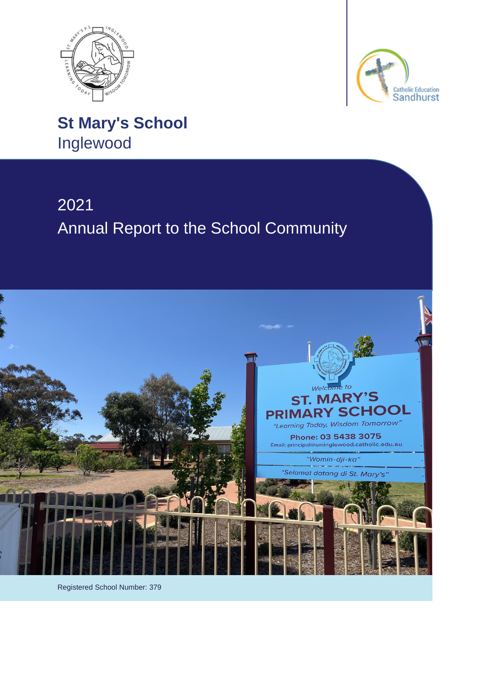



**St Mary's School** Inglewood

# 2021 Annual Report to the School Community



Registered School Number: 379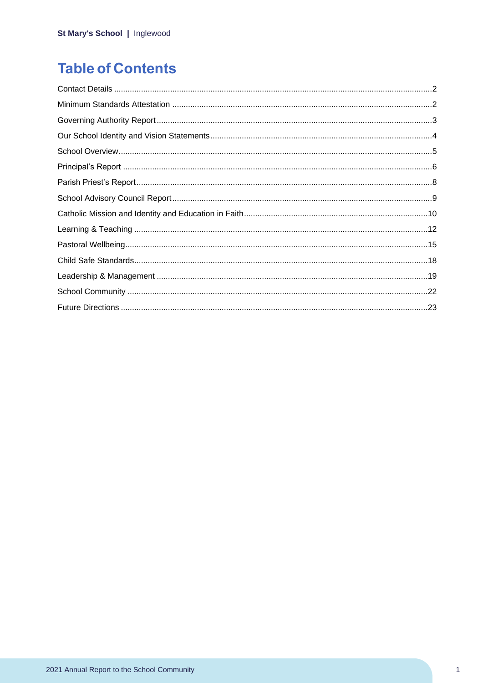## **Table of Contents**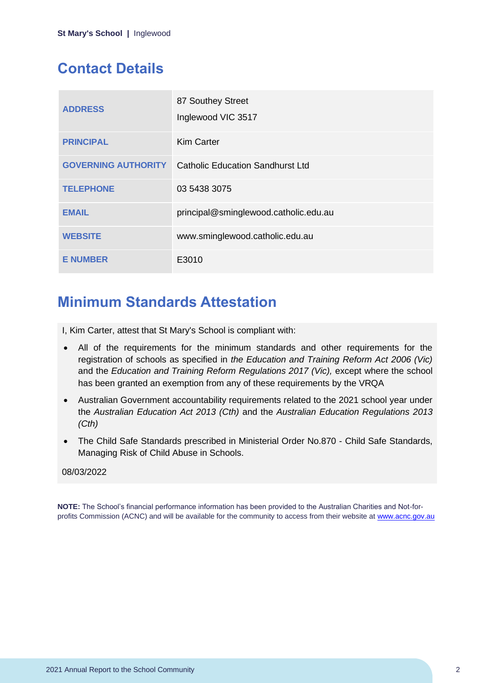## <span id="page-2-0"></span>**Contact Details**

| <b>ADDRESS</b>             | 87 Southey Street<br>Inglewood VIC 3517 |
|----------------------------|-----------------------------------------|
| <b>PRINCIPAL</b>           | <b>Kim Carter</b>                       |
| <b>GOVERNING AUTHORITY</b> | <b>Catholic Education Sandhurst Ltd</b> |
| <b>TELEPHONE</b>           | 03 5438 3075                            |
| <b>EMAIL</b>               | principal@sminglewood.catholic.edu.au   |
| <b>WEBSITE</b>             | www.sminglewood.catholic.edu.au         |
| <b>E NUMBER</b>            | E3010                                   |

## <span id="page-2-1"></span>**Minimum Standards Attestation**

I, Kim Carter, attest that St Mary's School is compliant with:

- All of the requirements for the minimum standards and other requirements for the registration of schools as specified in *the Education and Training Reform Act 2006 (Vic)* and the *Education and Training Reform Regulations 2017 (Vic),* except where the school has been granted an exemption from any of these requirements by the VRQA
- Australian Government accountability requirements related to the 2021 school year under the *Australian Education Act 2013 (Cth)* and the *Australian Education Regulations 2013 (Cth)*
- The Child Safe Standards prescribed in Ministerial Order No.870 Child Safe Standards, Managing Risk of Child Abuse in Schools.

### 08/03/2022

**NOTE:** The School's financial performance information has been provided to the Australian Charities and Not-forprofits Commission (ACNC) and will be available for the community to access from their website at [www.acnc.gov.au](http://www.acnc.gov.au/)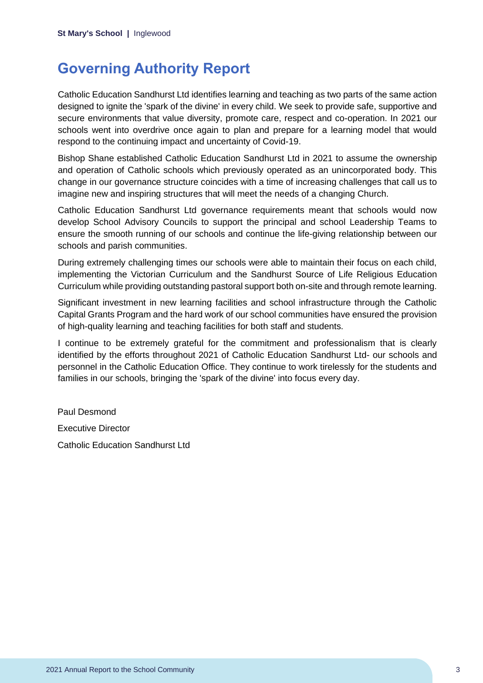## <span id="page-3-0"></span>**Governing Authority Report**

Catholic Education Sandhurst Ltd identifies learning and teaching as two parts of the same action designed to ignite the 'spark of the divine' in every child. We seek to provide safe, supportive and secure environments that value diversity, promote care, respect and co-operation. In 2021 our schools went into overdrive once again to plan and prepare for a learning model that would respond to the continuing impact and uncertainty of Covid-19.

Bishop Shane established Catholic Education Sandhurst Ltd in 2021 to assume the ownership and operation of Catholic schools which previously operated as an unincorporated body. This change in our governance structure coincides with a time of increasing challenges that call us to imagine new and inspiring structures that will meet the needs of a changing Church.

Catholic Education Sandhurst Ltd governance requirements meant that schools would now develop School Advisory Councils to support the principal and school Leadership Teams to ensure the smooth running of our schools and continue the life-giving relationship between our schools and parish communities.

During extremely challenging times our schools were able to maintain their focus on each child, implementing the Victorian Curriculum and the Sandhurst Source of Life Religious Education Curriculum while providing outstanding pastoral support both on-site and through remote learning.

Significant investment in new learning facilities and school infrastructure through the Catholic Capital Grants Program and the hard work of our school communities have ensured the provision of high-quality learning and teaching facilities for both staff and students.

I continue to be extremely grateful for the commitment and professionalism that is clearly identified by the efforts throughout 2021 of Catholic Education Sandhurst Ltd- our schools and personnel in the Catholic Education Office. They continue to work tirelessly for the students and families in our schools, bringing the 'spark of the divine' into focus every day.

Paul Desmond Executive Director

Catholic Education Sandhurst Ltd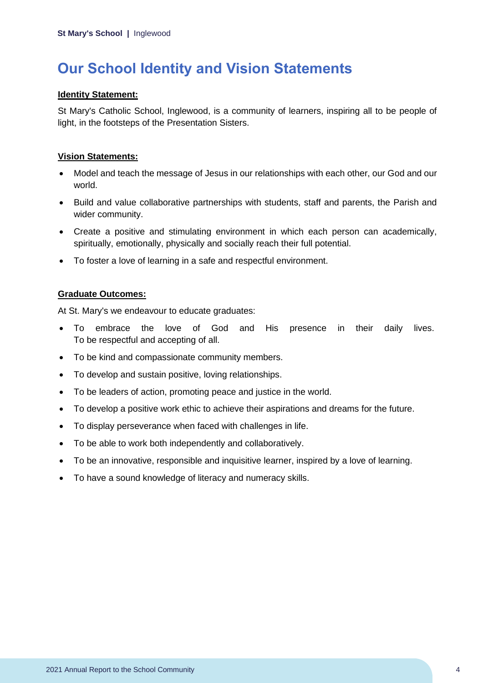## <span id="page-4-0"></span>**Our School Identity and Vision Statements**

### **Identity Statement:**

St Mary's Catholic School, Inglewood, is a community of learners, inspiring all to be people of light, in the footsteps of the Presentation Sisters.

## **Vision Statements:**

- Model and teach the message of Jesus in our relationships with each other, our God and our world.
- Build and value collaborative partnerships with students, staff and parents, the Parish and wider community.
- Create a positive and stimulating environment in which each person can academically, spiritually, emotionally, physically and socially reach their full potential.
- To foster a love of learning in a safe and respectful environment.

### **Graduate Outcomes:**

At St. Mary's we endeavour to educate graduates:

- To embrace the love of God and His presence in their daily lives. To be respectful and accepting of all.
- To be kind and compassionate community members.
- To develop and sustain positive, loving relationships.
- To be leaders of action, promoting peace and justice in the world.
- To develop a positive work ethic to achieve their aspirations and dreams for the future.
- To display perseverance when faced with challenges in life.
- To be able to work both independently and collaboratively.
- To be an innovative, responsible and inquisitive learner, inspired by a love of learning.
- To have a sound knowledge of literacy and numeracy skills.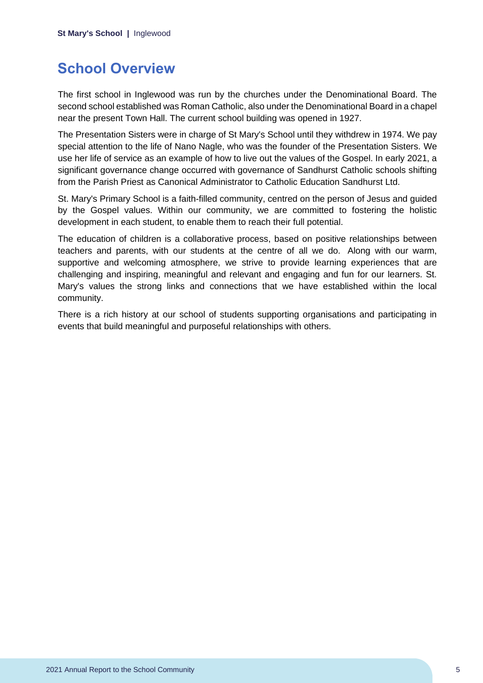## <span id="page-5-0"></span>**School Overview**

The first school in Inglewood was run by the churches under the Denominational Board. The second school established was Roman Catholic, also under the Denominational Board in a chapel near the present Town Hall. The current school building was opened in 1927.

The Presentation Sisters were in charge of St Mary's School until they withdrew in 1974. We pay special attention to the life of Nano Nagle, who was the founder of the Presentation Sisters. We use her life of service as an example of how to live out the values of the Gospel. In early 2021, a significant governance change occurred with governance of Sandhurst Catholic schools shifting from the Parish Priest as Canonical Administrator to Catholic Education Sandhurst Ltd.

St. Mary's Primary School is a faith-filled community, centred on the person of Jesus and guided by the Gospel values. Within our community, we are committed to fostering the holistic development in each student, to enable them to reach their full potential.

The education of children is a collaborative process, based on positive relationships between teachers and parents, with our students at the centre of all we do. Along with our warm, supportive and welcoming atmosphere, we strive to provide learning experiences that are challenging and inspiring, meaningful and relevant and engaging and fun for our learners. St. Mary's values the strong links and connections that we have established within the local community.

There is a rich history at our school of students supporting organisations and participating in events that build meaningful and purposeful relationships with others.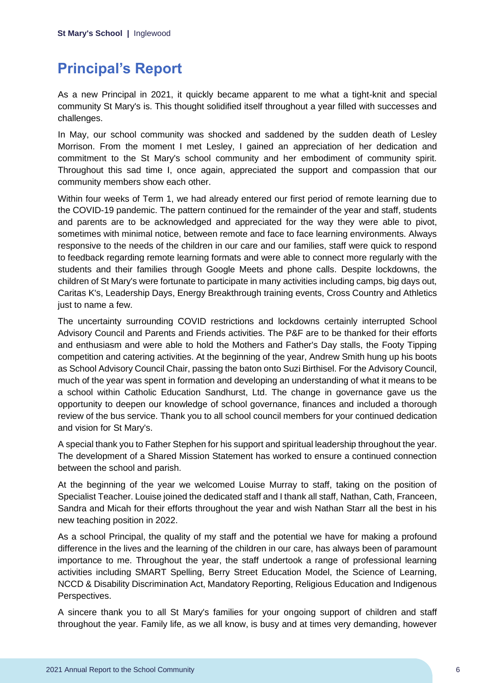## <span id="page-6-0"></span>**Principal's Report**

As a new Principal in 2021, it quickly became apparent to me what a tight-knit and special community St Mary's is. This thought solidified itself throughout a year filled with successes and challenges.

In May, our school community was shocked and saddened by the sudden death of Lesley Morrison. From the moment I met Lesley, I gained an appreciation of her dedication and commitment to the St Mary's school community and her embodiment of community spirit. Throughout this sad time I, once again, appreciated the support and compassion that our community members show each other.

Within four weeks of Term 1, we had already entered our first period of remote learning due to the COVID-19 pandemic. The pattern continued for the remainder of the year and staff, students and parents are to be acknowledged and appreciated for the way they were able to pivot, sometimes with minimal notice, between remote and face to face learning environments. Always responsive to the needs of the children in our care and our families, staff were quick to respond to feedback regarding remote learning formats and were able to connect more regularly with the students and their families through Google Meets and phone calls. Despite lockdowns, the children of St Mary's were fortunate to participate in many activities including camps, big days out, Caritas K's, Leadership Days, Energy Breakthrough training events, Cross Country and Athletics just to name a few.

The uncertainty surrounding COVID restrictions and lockdowns certainly interrupted School Advisory Council and Parents and Friends activities. The P&F are to be thanked for their efforts and enthusiasm and were able to hold the Mothers and Father's Day stalls, the Footy Tipping competition and catering activities. At the beginning of the year, Andrew Smith hung up his boots as School Advisory Council Chair, passing the baton onto Suzi Birthisel. For the Advisory Council, much of the year was spent in formation and developing an understanding of what it means to be a school within Catholic Education Sandhurst, Ltd. The change in governance gave us the opportunity to deepen our knowledge of school governance, finances and included a thorough review of the bus service. Thank you to all school council members for your continued dedication and vision for St Mary's.

A special thank you to Father Stephen for his support and spiritual leadership throughout the year. The development of a Shared Mission Statement has worked to ensure a continued connection between the school and parish.

At the beginning of the year we welcomed Louise Murray to staff, taking on the position of Specialist Teacher. Louise joined the dedicated staff and I thank all staff, Nathan, Cath, Franceen, Sandra and Micah for their efforts throughout the year and wish Nathan Starr all the best in his new teaching position in 2022.

As a school Principal, the quality of my staff and the potential we have for making a profound difference in the lives and the learning of the children in our care, has always been of paramount importance to me. Throughout the year, the staff undertook a range of professional learning activities including SMART Spelling, Berry Street Education Model, the Science of Learning, NCCD & Disability Discrimination Act, Mandatory Reporting, Religious Education and Indigenous Perspectives.

A sincere thank you to all St Mary's families for your ongoing support of children and staff throughout the year. Family life, as we all know, is busy and at times very demanding, however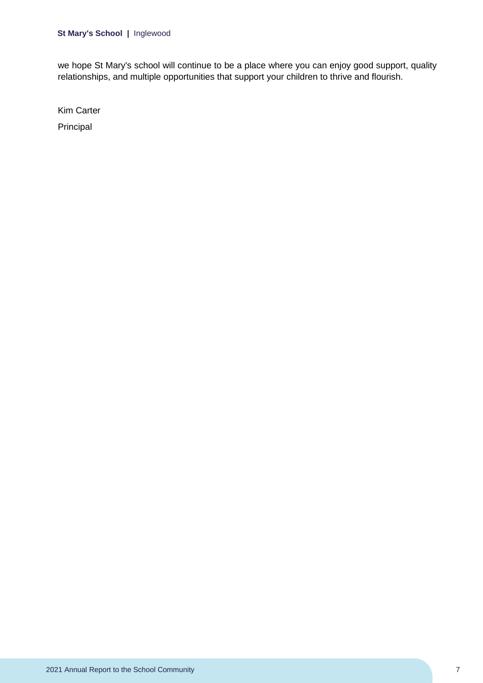we hope St Mary's school will continue to be a place where you can enjoy good support, quality relationships, and multiple opportunities that support your children to thrive and flourish.

Kim Carter

Principal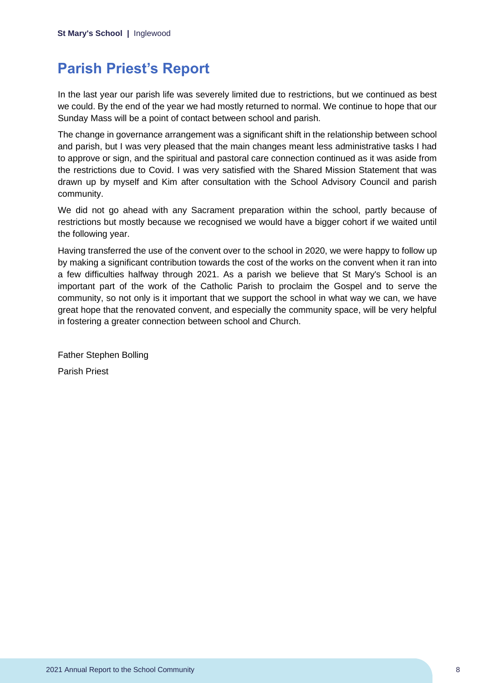## <span id="page-8-0"></span>**Parish Priest's Report**

In the last year our parish life was severely limited due to restrictions, but we continued as best we could. By the end of the year we had mostly returned to normal. We continue to hope that our Sunday Mass will be a point of contact between school and parish.

The change in governance arrangement was a significant shift in the relationship between school and parish, but I was very pleased that the main changes meant less administrative tasks I had to approve or sign, and the spiritual and pastoral care connection continued as it was aside from the restrictions due to Covid. I was very satisfied with the Shared Mission Statement that was drawn up by myself and Kim after consultation with the School Advisory Council and parish community.

We did not go ahead with any Sacrament preparation within the school, partly because of restrictions but mostly because we recognised we would have a bigger cohort if we waited until the following year.

Having transferred the use of the convent over to the school in 2020, we were happy to follow up by making a significant contribution towards the cost of the works on the convent when it ran into a few difficulties halfway through 2021. As a parish we believe that St Mary's School is an important part of the work of the Catholic Parish to proclaim the Gospel and to serve the community, so not only is it important that we support the school in what way we can, we have great hope that the renovated convent, and especially the community space, will be very helpful in fostering a greater connection between school and Church.

Father Stephen Bolling Parish Priest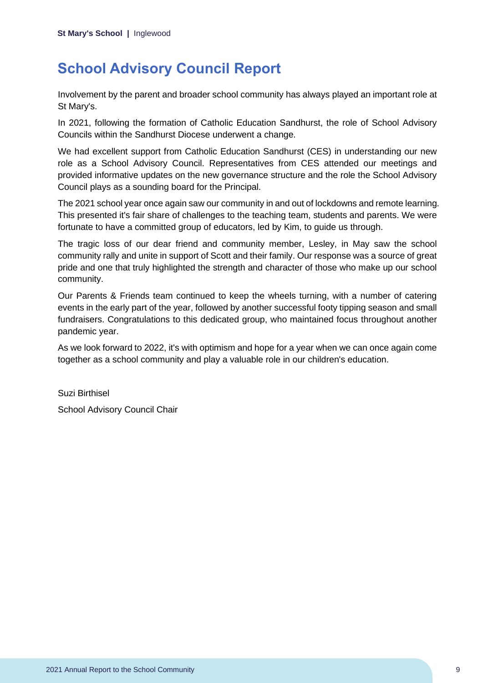## <span id="page-9-0"></span>**School Advisory Council Report**

Involvement by the parent and broader school community has always played an important role at St Mary's.

In 2021, following the formation of Catholic Education Sandhurst, the role of School Advisory Councils within the Sandhurst Diocese underwent a change.

We had excellent support from Catholic Education Sandhurst (CES) in understanding our new role as a School Advisory Council. Representatives from CES attended our meetings and provided informative updates on the new governance structure and the role the School Advisory Council plays as a sounding board for the Principal.

The 2021 school year once again saw our community in and out of lockdowns and remote learning. This presented it's fair share of challenges to the teaching team, students and parents. We were fortunate to have a committed group of educators, led by Kim, to guide us through.

The tragic loss of our dear friend and community member, Lesley, in May saw the school community rally and unite in support of Scott and their family. Our response was a source of great pride and one that truly highlighted the strength and character of those who make up our school community.

Our Parents & Friends team continued to keep the wheels turning, with a number of catering events in the early part of the year, followed by another successful footy tipping season and small fundraisers. Congratulations to this dedicated group, who maintained focus throughout another pandemic year.

As we look forward to 2022, it's with optimism and hope for a year when we can once again come together as a school community and play a valuable role in our children's education.

Suzi Birthisel School Advisory Council Chair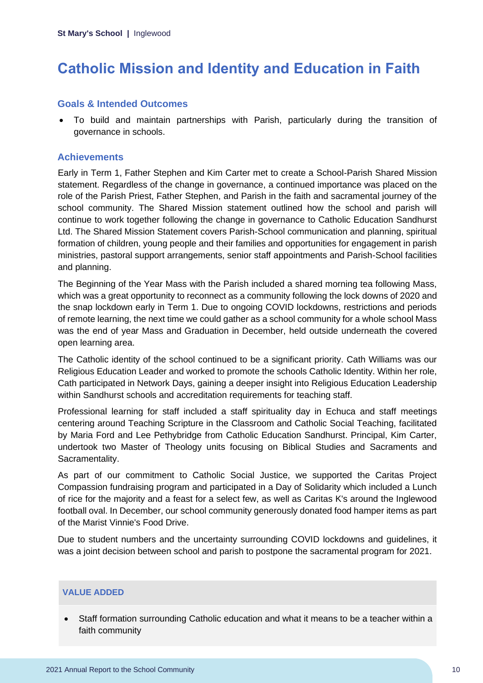## <span id="page-10-0"></span>**Catholic Mission and Identity and Education in Faith**

## **Goals & Intended Outcomes**

• To build and maintain partnerships with Parish, particularly during the transition of governance in schools.

## **Achievements**

Early in Term 1, Father Stephen and Kim Carter met to create a School-Parish Shared Mission statement. Regardless of the change in governance, a continued importance was placed on the role of the Parish Priest, Father Stephen, and Parish in the faith and sacramental journey of the school community. The Shared Mission statement outlined how the school and parish will continue to work together following the change in governance to Catholic Education Sandhurst Ltd. The Shared Mission Statement covers Parish-School communication and planning, spiritual formation of children, young people and their families and opportunities for engagement in parish ministries, pastoral support arrangements, senior staff appointments and Parish-School facilities and planning.

The Beginning of the Year Mass with the Parish included a shared morning tea following Mass, which was a great opportunity to reconnect as a community following the lock downs of 2020 and the snap lockdown early in Term 1. Due to ongoing COVID lockdowns, restrictions and periods of remote learning, the next time we could gather as a school community for a whole school Mass was the end of year Mass and Graduation in December, held outside underneath the covered open learning area.

The Catholic identity of the school continued to be a significant priority. Cath Williams was our Religious Education Leader and worked to promote the schools Catholic Identity. Within her role, Cath participated in Network Days, gaining a deeper insight into Religious Education Leadership within Sandhurst schools and accreditation requirements for teaching staff.

Professional learning for staff included a staff spirituality day in Echuca and staff meetings centering around Teaching Scripture in the Classroom and Catholic Social Teaching, facilitated by Maria Ford and Lee Pethybridge from Catholic Education Sandhurst. Principal, Kim Carter, undertook two Master of Theology units focusing on Biblical Studies and Sacraments and Sacramentality.

As part of our commitment to Catholic Social Justice, we supported the Caritas Project Compassion fundraising program and participated in a Day of Solidarity which included a Lunch of rice for the majority and a feast for a select few, as well as Caritas K's around the Inglewood football oval. In December, our school community generously donated food hamper items as part of the Marist Vinnie's Food Drive.

Due to student numbers and the uncertainty surrounding COVID lockdowns and guidelines, it was a joint decision between school and parish to postpone the sacramental program for 2021.

### **VALUE ADDED**

• Staff formation surrounding Catholic education and what it means to be a teacher within a faith community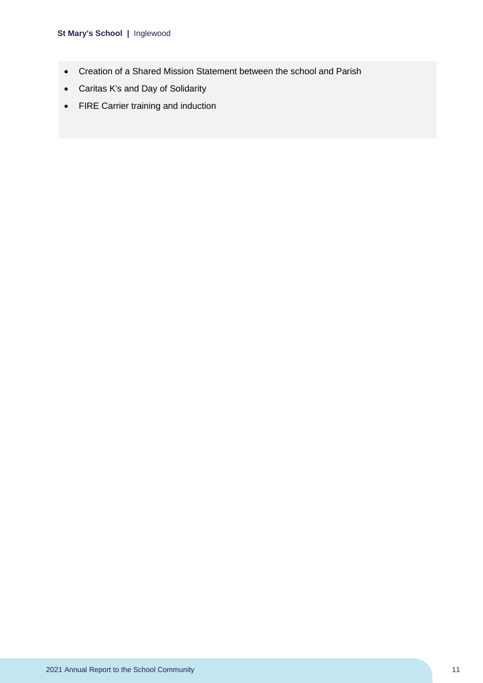- Creation of a Shared Mission Statement between the school and Parish
- Caritas K's and Day of Solidarity
- FIRE Carrier training and induction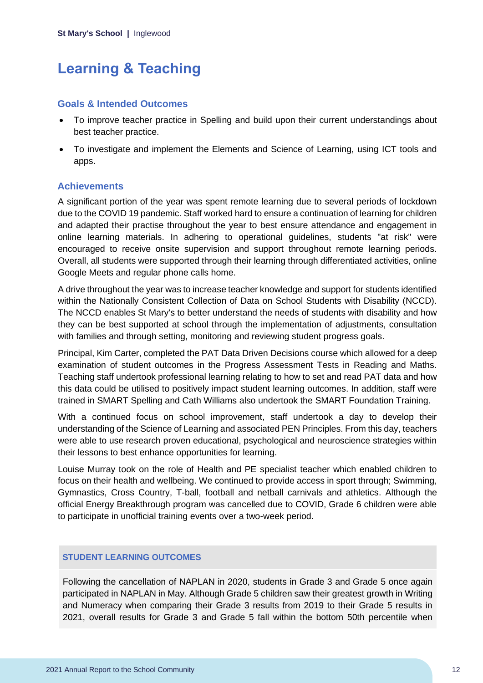## <span id="page-12-0"></span>**Learning & Teaching**

## **Goals & Intended Outcomes**

- To improve teacher practice in Spelling and build upon their current understandings about best teacher practice.
- To investigate and implement the Elements and Science of Learning, using ICT tools and apps.

## **Achievements**

A significant portion of the year was spent remote learning due to several periods of lockdown due to the COVID 19 pandemic. Staff worked hard to ensure a continuation of learning for children and adapted their practise throughout the year to best ensure attendance and engagement in online learning materials. In adhering to operational guidelines, students "at risk" were encouraged to receive onsite supervision and support throughout remote learning periods. Overall, all students were supported through their learning through differentiated activities, online Google Meets and regular phone calls home.

A drive throughout the year was to increase teacher knowledge and support for students identified within the Nationally Consistent Collection of Data on School Students with Disability (NCCD). The NCCD enables St Mary's to better understand the needs of students with disability and how they can be best supported at school through the implementation of adjustments, consultation with families and through setting, monitoring and reviewing student progress goals.

Principal, Kim Carter, completed the PAT Data Driven Decisions course which allowed for a deep examination of student outcomes in the Progress Assessment Tests in Reading and Maths. Teaching staff undertook professional learning relating to how to set and read PAT data and how this data could be utilised to positively impact student learning outcomes. In addition, staff were trained in SMART Spelling and Cath Williams also undertook the SMART Foundation Training.

With a continued focus on school improvement, staff undertook a day to develop their understanding of the Science of Learning and associated PEN Principles. From this day, teachers were able to use research proven educational, psychological and neuroscience strategies within their lessons to best enhance opportunities for learning.

Louise Murray took on the role of Health and PE specialist teacher which enabled children to focus on their health and wellbeing. We continued to provide access in sport through; Swimming, Gymnastics, Cross Country, T-ball, football and netball carnivals and athletics. Although the official Energy Breakthrough program was cancelled due to COVID, Grade 6 children were able to participate in unofficial training events over a two-week period.

### **STUDENT LEARNING OUTCOMES**

Following the cancellation of NAPLAN in 2020, students in Grade 3 and Grade 5 once again participated in NAPLAN in May. Although Grade 5 children saw their greatest growth in Writing and Numeracy when comparing their Grade 3 results from 2019 to their Grade 5 results in 2021, overall results for Grade 3 and Grade 5 fall within the bottom 50th percentile when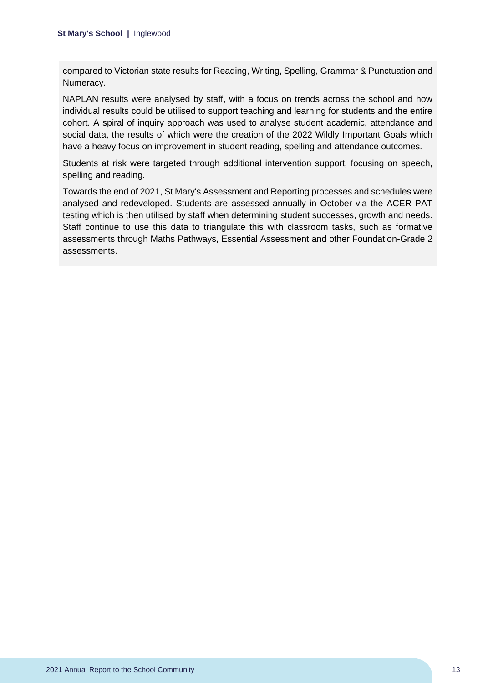compared to Victorian state results for Reading, Writing, Spelling, Grammar & Punctuation and Numeracy.

NAPLAN results were analysed by staff, with a focus on trends across the school and how individual results could be utilised to support teaching and learning for students and the entire cohort. A spiral of inquiry approach was used to analyse student academic, attendance and social data, the results of which were the creation of the 2022 Wildly Important Goals which have a heavy focus on improvement in student reading, spelling and attendance outcomes.

Students at risk were targeted through additional intervention support, focusing on speech, spelling and reading.

Towards the end of 2021, St Mary's Assessment and Reporting processes and schedules were analysed and redeveloped. Students are assessed annually in October via the ACER PAT testing which is then utilised by staff when determining student successes, growth and needs. Staff continue to use this data to triangulate this with classroom tasks, such as formative assessments through Maths Pathways, Essential Assessment and other Foundation-Grade 2 assessments.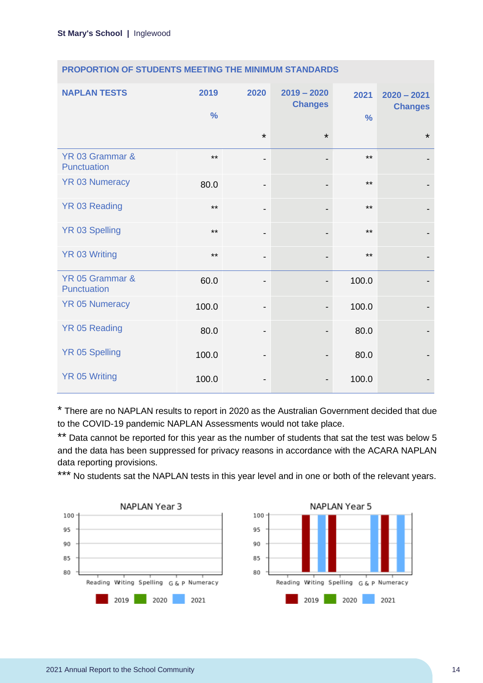| <b>NAPLAN TESTS</b>            | 2019<br>$\frac{0}{0}$ | 2020                         | $2019 - 2020$<br><b>Changes</b> | 2021<br>$\frac{0}{0}$ | $2020 - 2021$<br><b>Changes</b> |
|--------------------------------|-----------------------|------------------------------|---------------------------------|-----------------------|---------------------------------|
|                                |                       | $\star$                      | $\star$                         |                       | $\star$                         |
| YR 03 Grammar &<br>Punctuation | $***$                 | $\overline{\phantom{0}}$     |                                 | $***$                 |                                 |
| <b>YR 03 Numeracy</b>          | 80.0                  | $\qquad \qquad \blacksquare$ |                                 | $***$                 |                                 |
| <b>YR 03 Reading</b>           | $***$                 | $\qquad \qquad \blacksquare$ |                                 | $***$                 |                                 |
| <b>YR 03 Spelling</b>          | $***$                 | $\overline{\phantom{0}}$     |                                 | $***$                 |                                 |
| <b>YR 03 Writing</b>           | $***$                 | $\overline{\phantom{0}}$     |                                 | $***$                 |                                 |
| YR 05 Grammar &<br>Punctuation | 60.0                  | -                            |                                 | 100.0                 |                                 |
| <b>YR 05 Numeracy</b>          | 100.0                 | $\qquad \qquad \blacksquare$ | $\overline{\phantom{a}}$        | 100.0                 |                                 |
| <b>YR 05 Reading</b>           | 80.0                  | $\qquad \qquad \blacksquare$ |                                 | 80.0                  |                                 |
| <b>YR 05 Spelling</b>          | 100.0                 | $\qquad \qquad \blacksquare$ |                                 | 80.0                  |                                 |
| <b>YR 05 Writing</b>           | 100.0                 | -                            |                                 | 100.0                 |                                 |

## **PROPORTION OF STUDENTS MEETING THE MINIMUM STANDARDS**

\* There are no NAPLAN results to report in 2020 as the Australian Government decided that due to the COVID-19 pandemic NAPLAN Assessments would not take place.

\*\* Data cannot be reported for this year as the number of students that sat the test was below 5 and the data has been suppressed for privacy reasons in accordance with the ACARA NAPLAN data reporting provisions.

\*\*\* No students sat the NAPLAN tests in this year level and in one or both of the relevant years.

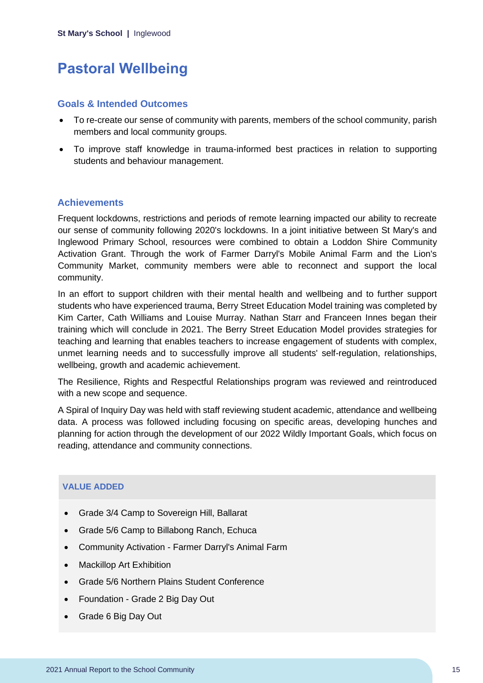## <span id="page-15-0"></span>**Pastoral Wellbeing**

### **Goals & Intended Outcomes**

- To re-create our sense of community with parents, members of the school community, parish members and local community groups.
- To improve staff knowledge in trauma-informed best practices in relation to supporting students and behaviour management.

## **Achievements**

Frequent lockdowns, restrictions and periods of remote learning impacted our ability to recreate our sense of community following 2020's lockdowns. In a joint initiative between St Mary's and Inglewood Primary School, resources were combined to obtain a Loddon Shire Community Activation Grant. Through the work of Farmer Darryl's Mobile Animal Farm and the Lion's Community Market, community members were able to reconnect and support the local community.

In an effort to support children with their mental health and wellbeing and to further support students who have experienced trauma, Berry Street Education Model training was completed by Kim Carter, Cath Williams and Louise Murray. Nathan Starr and Franceen Innes began their training which will conclude in 2021. The Berry Street Education Model provides strategies for teaching and learning that enables teachers to increase engagement of students with complex, unmet learning needs and to successfully improve all students' self-regulation, relationships, wellbeing, growth and academic achievement.

The Resilience, Rights and Respectful Relationships program was reviewed and reintroduced with a new scope and sequence.

A Spiral of Inquiry Day was held with staff reviewing student academic, attendance and wellbeing data. A process was followed including focusing on specific areas, developing hunches and planning for action through the development of our 2022 Wildly Important Goals, which focus on reading, attendance and community connections.

## **VALUE ADDED**

- Grade 3/4 Camp to Sovereign Hill, Ballarat
- Grade 5/6 Camp to Billabong Ranch, Echuca
- Community Activation Farmer Darryl's Animal Farm
- Mackillop Art Exhibition
- Grade 5/6 Northern Plains Student Conference
- Foundation Grade 2 Big Day Out
- Grade 6 Big Day Out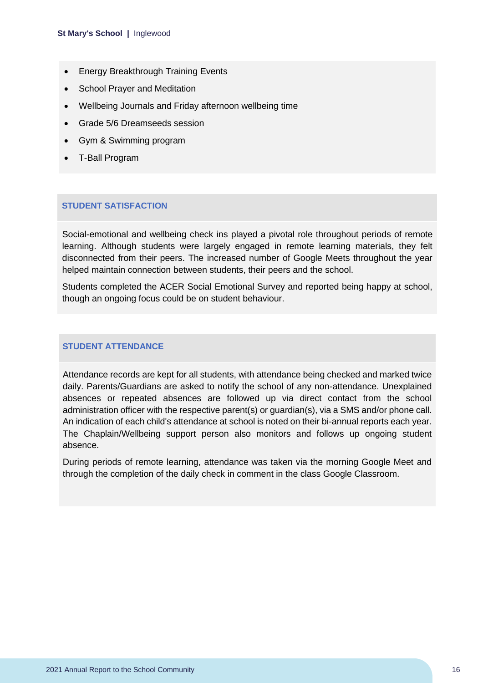- Energy Breakthrough Training Events
- School Prayer and Meditation
- Wellbeing Journals and Friday afternoon wellbeing time
- Grade 5/6 Dreamseeds session
- Gym & Swimming program
- T-Ball Program

### **STUDENT SATISFACTION**

Social-emotional and wellbeing check ins played a pivotal role throughout periods of remote learning. Although students were largely engaged in remote learning materials, they felt disconnected from their peers. The increased number of Google Meets throughout the year helped maintain connection between students, their peers and the school.

Students completed the ACER Social Emotional Survey and reported being happy at school, though an ongoing focus could be on student behaviour.

#### **STUDENT ATTENDANCE**

Attendance records are kept for all students, with attendance being checked and marked twice daily. Parents/Guardians are asked to notify the school of any non-attendance. Unexplained absences or repeated absences are followed up via direct contact from the school administration officer with the respective parent(s) or guardian(s), via a SMS and/or phone call. An indication of each child's attendance at school is noted on their bi-annual reports each year. The Chaplain/Wellbeing support person also monitors and follows up ongoing student absence.

During periods of remote learning, attendance was taken via the morning Google Meet and through the completion of the daily check in comment in the class Google Classroom.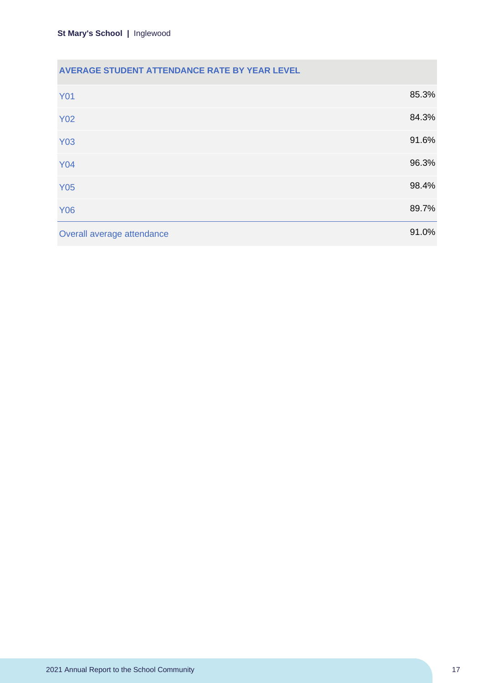## **AVERAGE STUDENT ATTENDANCE RATE BY YEAR LEVEL**

| <b>Y01</b>                 | 85.3% |
|----------------------------|-------|
| <b>Y02</b>                 | 84.3% |
| <b>Y03</b>                 | 91.6% |
| <b>Y04</b>                 | 96.3% |
| <b>Y05</b>                 | 98.4% |
| <b>Y06</b>                 | 89.7% |
| Overall average attendance | 91.0% |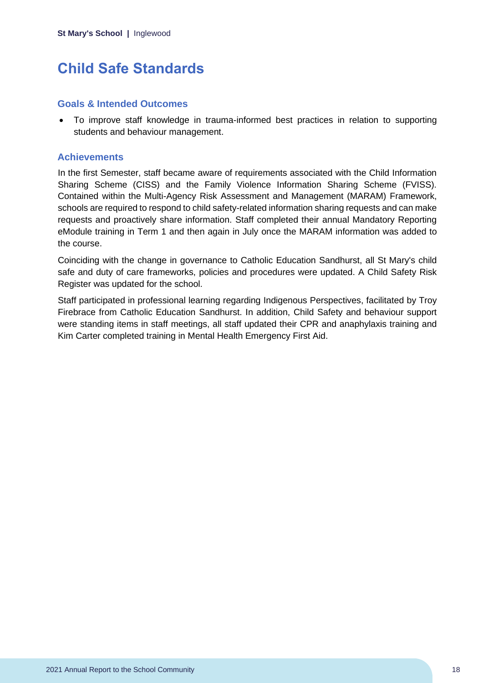## <span id="page-18-0"></span>**Child Safe Standards**

### **Goals & Intended Outcomes**

• To improve staff knowledge in trauma-informed best practices in relation to supporting students and behaviour management.

## **Achievements**

In the first Semester, staff became aware of requirements associated with the Child Information Sharing Scheme (CISS) and the Family Violence Information Sharing Scheme (FVISS). Contained within the Multi-Agency Risk Assessment and Management (MARAM) Framework, schools are required to respond to child safety-related information sharing requests and can make requests and proactively share information. Staff completed their annual Mandatory Reporting eModule training in Term 1 and then again in July once the MARAM information was added to the course.

Coinciding with the change in governance to Catholic Education Sandhurst, all St Mary's child safe and duty of care frameworks, policies and procedures were updated. A Child Safety Risk Register was updated for the school.

Staff participated in professional learning regarding Indigenous Perspectives, facilitated by Troy Firebrace from Catholic Education Sandhurst. In addition, Child Safety and behaviour support were standing items in staff meetings, all staff updated their CPR and anaphylaxis training and Kim Carter completed training in Mental Health Emergency First Aid.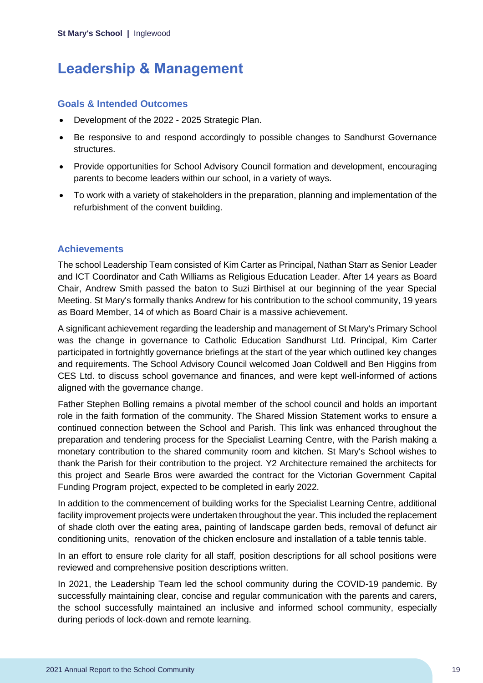## <span id="page-19-0"></span>**Leadership & Management**

## **Goals & Intended Outcomes**

- Development of the 2022 2025 Strategic Plan.
- Be responsive to and respond accordingly to possible changes to Sandhurst Governance structures.
- Provide opportunities for School Advisory Council formation and development, encouraging parents to become leaders within our school, in a variety of ways.
- To work with a variety of stakeholders in the preparation, planning and implementation of the refurbishment of the convent building.

## **Achievements**

The school Leadership Team consisted of Kim Carter as Principal, Nathan Starr as Senior Leader and ICT Coordinator and Cath Williams as Religious Education Leader. After 14 years as Board Chair, Andrew Smith passed the baton to Suzi Birthisel at our beginning of the year Special Meeting. St Mary's formally thanks Andrew for his contribution to the school community, 19 years as Board Member, 14 of which as Board Chair is a massive achievement.

A significant achievement regarding the leadership and management of St Mary's Primary School was the change in governance to Catholic Education Sandhurst Ltd. Principal, Kim Carter participated in fortnightly governance briefings at the start of the year which outlined key changes and requirements. The School Advisory Council welcomed Joan Coldwell and Ben Higgins from CES Ltd. to discuss school governance and finances, and were kept well-informed of actions aligned with the governance change.

Father Stephen Bolling remains a pivotal member of the school council and holds an important role in the faith formation of the community. The Shared Mission Statement works to ensure a continued connection between the School and Parish. This link was enhanced throughout the preparation and tendering process for the Specialist Learning Centre, with the Parish making a monetary contribution to the shared community room and kitchen. St Mary's School wishes to thank the Parish for their contribution to the project. Y2 Architecture remained the architects for this project and Searle Bros were awarded the contract for the Victorian Government Capital Funding Program project, expected to be completed in early 2022.

In addition to the commencement of building works for the Specialist Learning Centre, additional facility improvement projects were undertaken throughout the year. This included the replacement of shade cloth over the eating area, painting of landscape garden beds, removal of defunct air conditioning units, renovation of the chicken enclosure and installation of a table tennis table.

In an effort to ensure role clarity for all staff, position descriptions for all school positions were reviewed and comprehensive position descriptions written.

In 2021, the Leadership Team led the school community during the COVID-19 pandemic. By successfully maintaining clear, concise and regular communication with the parents and carers, the school successfully maintained an inclusive and informed school community, especially during periods of lock-down and remote learning.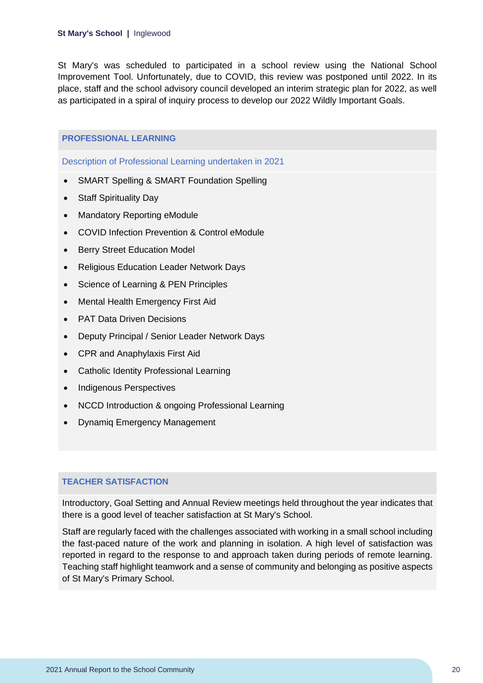St Mary's was scheduled to participated in a school review using the National School Improvement Tool. Unfortunately, due to COVID, this review was postponed until 2022. In its place, staff and the school advisory council developed an interim strategic plan for 2022, as well as participated in a spiral of inquiry process to develop our 2022 Wildly Important Goals.

## **PROFESSIONAL LEARNING**

Description of Professional Learning undertaken in 2021

- SMART Spelling & SMART Foundation Spelling
- Staff Spirituality Day
- Mandatory Reporting eModule
- COVID Infection Prevention & Control eModule
- Berry Street Education Model
- Religious Education Leader Network Days
- Science of Learning & PEN Principles
- Mental Health Emergency First Aid
- PAT Data Driven Decisions
- Deputy Principal / Senior Leader Network Days
- CPR and Anaphylaxis First Aid
- Catholic Identity Professional Learning
- Indigenous Perspectives
- NCCD Introduction & ongoing Professional Learning
- Dynamiq Emergency Management

### **TEACHER SATISFACTION**

Introductory, Goal Setting and Annual Review meetings held throughout the year indicates that there is a good level of teacher satisfaction at St Mary's School.

Staff are regularly faced with the challenges associated with working in a small school including the fast-paced nature of the work and planning in isolation. A high level of satisfaction was reported in regard to the response to and approach taken during periods of remote learning. Teaching staff highlight teamwork and a sense of community and belonging as positive aspects of St Mary's Primary School.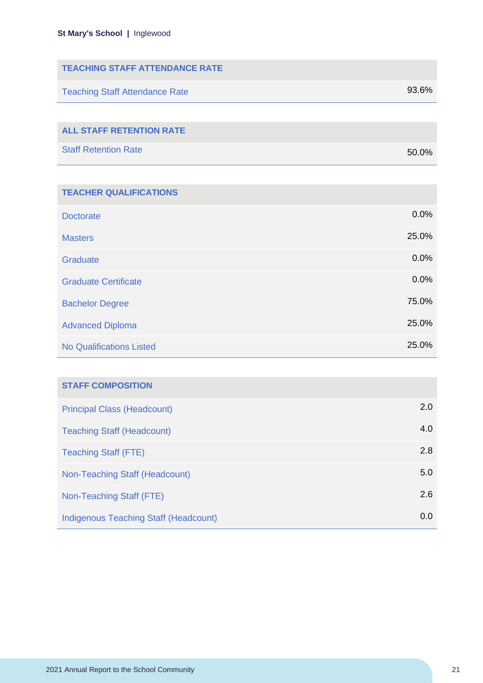| <b>TEACHING STAFF ATTENDANCE RATE</b> |       |
|---------------------------------------|-------|
| <b>Teaching Staff Attendance Rate</b> | 93.6% |
|                                       |       |
| <b>ALL STAFF RETENTION RATE</b>       |       |

| <b>Staff Retention Rate</b> | 50.0% |
|-----------------------------|-------|

| <b>TEACHER QUALIFICATIONS</b>   |       |
|---------------------------------|-------|
| <b>Doctorate</b>                | 0.0%  |
| <b>Masters</b>                  | 25.0% |
| Graduate                        | 0.0%  |
| <b>Graduate Certificate</b>     | 0.0%  |
| <b>Bachelor Degree</b>          | 75.0% |
| <b>Advanced Diploma</b>         | 25.0% |
| <b>No Qualifications Listed</b> | 25.0% |

| <b>STAFF COMPOSITION</b>                     |     |
|----------------------------------------------|-----|
| <b>Principal Class (Headcount)</b>           | 2.0 |
| <b>Teaching Staff (Headcount)</b>            | 4.0 |
| <b>Teaching Staff (FTE)</b>                  | 2.8 |
| Non-Teaching Staff (Headcount)               | 5.0 |
| Non-Teaching Staff (FTE)                     | 2.6 |
| <b>Indigenous Teaching Staff (Headcount)</b> | 0.0 |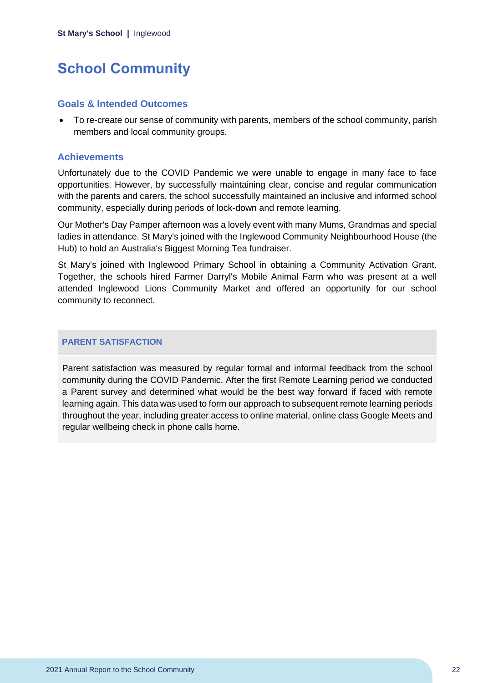## <span id="page-22-0"></span>**School Community**

### **Goals & Intended Outcomes**

• To re-create our sense of community with parents, members of the school community, parish members and local community groups.

### **Achievements**

Unfortunately due to the COVID Pandemic we were unable to engage in many face to face opportunities. However, by successfully maintaining clear, concise and regular communication with the parents and carers, the school successfully maintained an inclusive and informed school community, especially during periods of lock-down and remote learning.

Our Mother's Day Pamper afternoon was a lovely event with many Mums, Grandmas and special ladies in attendance. St Mary's joined with the Inglewood Community Neighbourhood House (the Hub) to hold an Australia's Biggest Morning Tea fundraiser.

St Mary's joined with Inglewood Primary School in obtaining a Community Activation Grant. Together, the schools hired Farmer Darryl's Mobile Animal Farm who was present at a well attended Inglewood Lions Community Market and offered an opportunity for our school community to reconnect.

### **PARENT SATISFACTION**

Parent satisfaction was measured by regular formal and informal feedback from the school community during the COVID Pandemic. After the first Remote Learning period we conducted a Parent survey and determined what would be the best way forward if faced with remote learning again. This data was used to form our approach to subsequent remote learning periods throughout the year, including greater access to online material, online class Google Meets and regular wellbeing check in phone calls home.